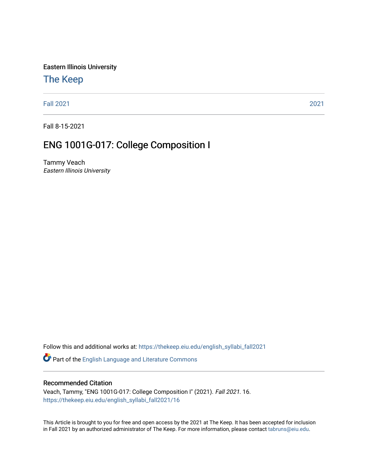Eastern Illinois University

# [The Keep](https://thekeep.eiu.edu/)

[Fall 2021](https://thekeep.eiu.edu/english_syllabi_fall2021) [2021](https://thekeep.eiu.edu/english_syllabi2021) 

Fall 8-15-2021

# ENG 1001G-017: College Composition I

Tammy Veach Eastern Illinois University

Follow this and additional works at: [https://thekeep.eiu.edu/english\\_syllabi\\_fall2021](https://thekeep.eiu.edu/english_syllabi_fall2021?utm_source=thekeep.eiu.edu%2Fenglish_syllabi_fall2021%2F16&utm_medium=PDF&utm_campaign=PDFCoverPages) 

Part of the [English Language and Literature Commons](http://network.bepress.com/hgg/discipline/455?utm_source=thekeep.eiu.edu%2Fenglish_syllabi_fall2021%2F16&utm_medium=PDF&utm_campaign=PDFCoverPages)

## Recommended Citation

Veach, Tammy, "ENG 1001G-017: College Composition I" (2021). Fall 2021. 16. [https://thekeep.eiu.edu/english\\_syllabi\\_fall2021/16](https://thekeep.eiu.edu/english_syllabi_fall2021/16?utm_source=thekeep.eiu.edu%2Fenglish_syllabi_fall2021%2F16&utm_medium=PDF&utm_campaign=PDFCoverPages)

This Article is brought to you for free and open access by the 2021 at The Keep. It has been accepted for inclusion in Fall 2021 by an authorized administrator of The Keep. For more information, please contact [tabruns@eiu.edu](mailto:tabruns@eiu.edu).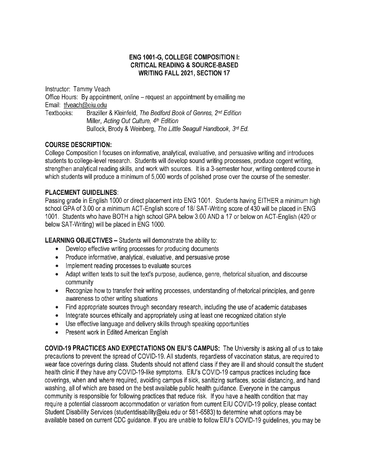## **ENG 1001-G, COLLEGE COMPOSITION** I: **CRITICAL READING** & **SOURCE-BASED WRITING FALL 2021, SECTION 17**

Instructor: Tammy Veach Office Hours: By appointment, online – request an appointment by emailing me Email: tfveach@eiu.edu Textbooks: Braziller & Kleinfeld, The Bedford Book of Genres, 2nd Edition Miller, Acting Out Culture, 4th Edition Bullock, Brody & Weinberg, The Little Seagull Handbook, 3rd Ed.

# **COURSE DESCRIPTION:**

College Composition I focuses on informative, analytical, evaluative, and persuasive writing and introduces students to college-level research. Students will develop sound writing processes, produce cogent writing, strengthen analytical reading skills, and work with sources. It is a 3-semester hour, writing centered course in which students will produce a minimum of 5,000 words of polished prose over the course of the semester.

# **PLACEMENT GUIDELINES:**

Passing grade in English 1000 or direct placement into ENG 1001. Students having EITHER a minimum high school GPA of 3.00 or a minimum ACT-English score of 18/ SAT-Writing score of 430 will be placed in ENG 1001. Students who have BOTH a high school GPA below 3.00 AND a 17 or below on ACT-English (420 or below SAT-Writing) will be placed in ENG 1000.

**LEARNING OBJECTIVES** - Students will demonstrate the ability to:

- Develop effective writing processes for producing documents
- Produce informative, analytical, evaluative, and persuasive prose
- Implement reading processes to evaluate sources
- Adapt written texts to suit the text's purpose, audience, genre, rhetorical situation, and discourse community
- Recognize how to transfer their writing processes, understanding of rhetorical principles, and genre awareness to other writing situations
- Find appropriate sources through secondary research, including the use of academic databases
- Integrate sources ethically and appropriately using at least one recognized citation style
- Use effective language and delivery skills through speaking opportunities
- Present work in Edited American English

**COVID-19 PRACTICES AND EXPECTATIONS ON EIU'S CAMPUS:** The University is asking all of us to take precautions to prevent the spread of COVID-19. All students, regardless of vaccination status, are required to wear face coverings during class. Students should not attend class if they are ill and should consult the student health clinic if they have any COVID-19-like symptoms. EIU's COVID-19 campus practices including face coverings, when and where required, avoiding campus if sick, sanitizing surfaces, social distancing, and hand washing, all of which are based on the best available public health guidance. Everyone in the campus community is responsible for following practices that reduce risk. If you have a health condition that may require a potential classroom accommodation or variation from current EIU COVID-19 policy, please contact Student Disability Services (studentdisability@eiu.edu or 581-6583) to determine what options may be available based on current CDC guidance. If you are unable to follow EIU's COVID-19 guidelines, you may be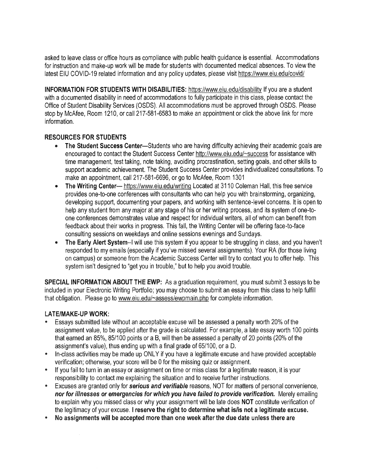asked to leave class or office hours as compliance with public health guidance is essential. Accommodations for instruction and make-up work will be made for students with documented medical absences. To view the latest EIU COVID-19 related information and any policy updates, please visit https://www.eiu.edu/covid/

**INFORMATION FOR STUDENTS WITH DISABILITIES:** https://www.eiu.edu/disability If you are a student with a documented disability in need of accommodations to fully participate in this class, please contact the Office of Student Disability Services (OSDS). All accommodations must be approved through OSDS. Please stop by McAfee, Room 1210, or call 217-581-6583 to make an appointment or click the above link for more information.

# **RESOURCES FOR STUDENTS**

- The Student Success Center-Students who are having difficulty achieving their academic goals are encouraged to contact the Student Success Center http://www.eiu.edu/~success for assistance with time management, test taking, note taking, avoiding procrastination, setting goals, and other skills to support academic achievement. The Student Success Center provides individualized consultations. To make an appointment, call 217-581-6696, or go to McAfee, Room 1301
- The Writing Center-- https://www.eiu.edu/writing Located at 3110 Coleman Hall, this free service provides one-to-one conferences with consultants who can help you with brainstorming, organizing, developing support, documenting your papers, and working with sentence-level concerns. It is open to help any student from any major at any stage of his or her writing process, and its system of one-toone conferences demonstrates value and respect for individual writers, all of whom can benefit from feedback about their works in progress. This fall, the Writing Center will be offering face-to-face consulting sessions on weekdays and online sessions evenings and Sundays.
- **The Early Alert System--1** will use this system if you appear to be struggling in class, and you haven't responded to my emails (especially if you've missed several assignments). Your RA (for those living on campus) or someone from the Academic Success Center will try to contact you to offer help. This system isn't designed to "get you in trouble," but to help you avoid trouble.

**SPECIAL INFORMATION ABOUT THE EWP:** As a graduation requirement, you must submit 3 essays to be included in your Electronic Writing Portfolio; you may choose to submit an essay from this class to help fulfill that obligation. Please go to www.eiu.edu/~assess/ewpmain.php for complete information.

# **LATE/MAKE-UP WORK:**

- Essays submitted late without an acceptable excuse will be assessed a penalty worth 20% of the assignment value, to be applied after the grade is calculated. For example, a late essay worth 100 points that earned an 85%, 85/100 points or a B, will then be assessed a penalty of 20 points (20% of the assignment's value), thus ending up with a final grade of 65/100, or a D.
- In-class activities may be made up ONLY if you have a legitimate excuse and have provided acceptable verification; otherwise, your score will be O for the missing quiz or assignment.
- If you fail to turn in an essay or assignment on time or miss class for a legitimate reason, it is your responsibility to contact me explaining the situation and to receive further instructions.
- Excuses are granted only for **serious and verifiable** reasons, NOT for matters of personal convenience, **nor for illnesses or emergencies for which you have failed to provide verification.** Merely emailing to explain why you missed class or why your assignment will be late does NOT constitute verification of the legitimacy of your excuse. I **reserve the right to determine what is/is not a legitimate excuse.**
- **No assignments will be accepted more than one week after the due date unless there are**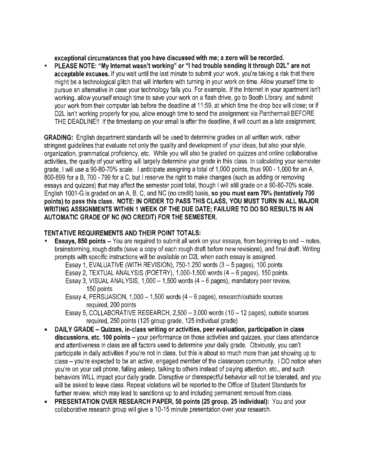**exceptional circumstances that you have discussed with me; a zero will be recorded.** 

• **PLEASE NOTE: "My Internet wasn't working" or** "I **had trouble sending it through D2L" are not acceptable excuses.** If you wait until the last minute to submit your work, you're taking a risk that there might be a technological glitch that will interfere with turning in your work on time. Allow yourself time to pursue an alternative in case your technology fails you. For example, if the Internet in your apartment isn't working, allow yourself enough time to save your work on a flash drive, go to Booth Library, and submit your work from their computer lab before the deadline at 11 :59, at which time the drop box will close; or if D2L isn't working properly for you, allow enough time to send the assignment via Panthermail BEFORE THE DEADLINE!! If the timestamp on your email is after the deadline, it will count as a late assignment.

**GRADING:** English department standards will be used to determine grades on all written work, rather stringent guidelines that evaluate not only the quality and development of your ideas, but also your style, organization, grammatical proficiency, etc. While you will also be graded on quizzes and online collaborative activities, the quality of your writing will largely determine your grade in this class. In calculating your semester grade, I will use a 90-80-70% scale. I anticipate assigning a total of 1,000 points, thus 900 - 1,000 for an A, 800-899 for a B, 700 - 799 for a C, but I reserve the right to make changes (such as adding or removing essays and quizzes) that may affect the semester point total, though I will still grade on a 90-80-70% scale. English 1001-G is graded on an A, B, C, and NC (no credit) basis, **so you must earn 70% (tentatively 700 points) to pass this class. NOTE: IN ORDER TO PASS THIS CLASS, YOU MUST TURN IN ALL MAJOR WRITING ASSIGNMENTS WITHIN 1 WEEK OF THE DUE DATE; FAILURE TO DO SO RESULTS IN AN AUTOMATIC GRADE OF NC (NO CREDIT) FOR THE SEMESTER.** 

# **TENTATIVE REQUIREMENTS AND THEIR POINT TOTALS:**

**Essays, 850 points --** You are required to submit all work on your essays, from beginning to end -- notes, brainstorming, rough drafts (save a copy of each rough draft before new revisions), and final draft. Writing prompts with specific instructions will be available on D2L when each essay is assigned.

Essay 1, EVALUATIVE (WITH REVISION), 750-1.250 words  $(3 - 5$  pages), 100 points Essay 2, TEXTUAL ANALYSIS (POETRY), 1,000-1,500 words (4 - 6 pages), 150 points.

Essay 3, VISUAL ANALYSIS,  $1,000 - 1,500$  words  $(4 - 6$  pages), mandatory peer review, 150 points.

Essay 4, PERSUASION,  $1,000 - 1,500$  words  $(4 - 6$  pages), research/outside sources required, 200 points

Essay 5, COLLABORATIVE RESEARCH,  $2,500 - 3,000$  words (10 - 12 pages), outside sources required, 250 points (125 group grade, 125 individual grade)

- **DAILY GRADE Quizzes, in-class writing or activities, peer evaluation, participation in class**  discussions, etc. 100 points - your performance on those activities and quizzes, your class attendance and attentiveness in class are all factors used to determine your daily grade. Obviously, you can't participate in daily activities if you're not in class, but this is about so much more than just showing up to class - you're expected to be an active, engaged member of the classroom community. I DO notice when you're on your cell phone, falling asleep, talking to others instead of paying attention, etc., and such behaviors WILL impact your daily grade. Disruptive or disrespectful behavior will not be tolerated, and you will be asked to leave class. Repeat violations will be reported to the Office of Student Standards for further review, which may lead to sanctions up to and including permanent removal from class.
- **PRESENTATION OVER RESEARCH PAPER, 50 points (25 group, 25 individual):** You and your collaborative research group will give a 10-15 minute presentation over your research.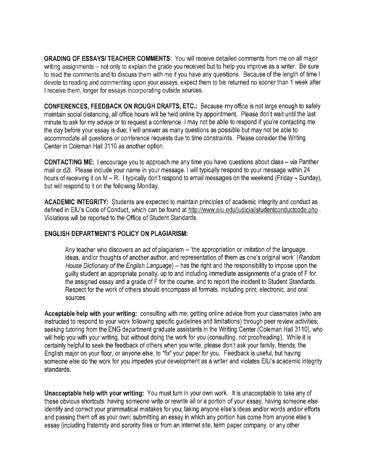**GRADING OF ESSAYS/TEACHER COMMENTS:** You will receive detailed comments from me on all major writing assignments -- not only to explain the grade you received but to help you improve as a writer. Be sure to read the comments and to discuss them with me if you have any questions. Because of the length of time I devote to reading and commenting upon your essays, expect them to be returned no sooner than 1 week after I receive them, longer for essays incorporating outside sources.

**CONFERENCES, FEEDBACK ON ROUGH DRAFTS, ETC.:** Because my office is not large enough to safely maintain social distancing, all office hours will be held online by appointment. Please don't wait until the last minute to ask for my advice or to request a conference. I may not be able to respond if you're contacting me the day before your essay is due; I will answer as many questions as possible but may not be able to accommodate all questions or conference requests due to time constraints. Please consider the Writing Center in Coleman Hall 3110 as another option.

**CONTACTING ME:** I encourage you to approach me any time you have questions about class- via Panther mail or d2I. Please include your name in your message. I will typically respond to your message within 24 hours of receiving it on M - R. I typically don't respond to email messages on the weekend (Friday - Sunday), but will respond to it on the following Monday.

**ACADEMIC INTEGRITY:** Students are expected to maintain principles of academic integrity and conduct as defined in EIU's Code of Conduct, which can be found at http://www.eiu.edu/judicial/studentconductcode.php . Violations will be reported to the Office of Student Standards.

## **ENGLISH DEPARTMENT'S POLICY ON PLAGIARISM:**

Any teacher who discovers an act of plagiarism -- 'the appropriation or imitation of the language, ideas, and/or thoughts of another author, and representation of them as one's original work' (Random House Dictionary of the English Language) -- has the right and the responsibility to impose upon the guilty student an appropriate penalty, up to and including immediate assignments of a grade of F for the assigned essay and a grade of F for the course, and to report the incident to Student Standards. Respect for the work of others should encompass all formats, including print, electronic, and oral sources.

**Acceptable help with your writing:** consulting with me; getting online advice from your classmates (who are instructed to respond to your work following specific guidelines and limitations) through peer review activities; seeking tutoring from the ENG department graduate assistants in the Writing Center (Coleman Hall 3110), who will help you with your writing, but without doing the work for you (consulting, not proofreading). While it is certainly helpful to seek the feedback of others when you write, please don't ask your family, friends, the English major on your floor, or anyone else, to "fix" your paper for you. Feedback is useful, but having someone else do the work for you impedes your development as a writer and violates EIU's academic integrity standards.

**Unacceptable help with your writing:** You must turn in your own work. It is unacceptable to take any of these obvious shortcuts: having someone write or rewrite all or a portion of your essay, having someone else identify and correct your grammatical mistakes for you; taking anyone else's ideas and/or words and/or efforts and passing them off as your own; submitting an essay in which any portion has come from anyone else's essay (including fraternity and sorority files or from an Internet site, term paper company, or any other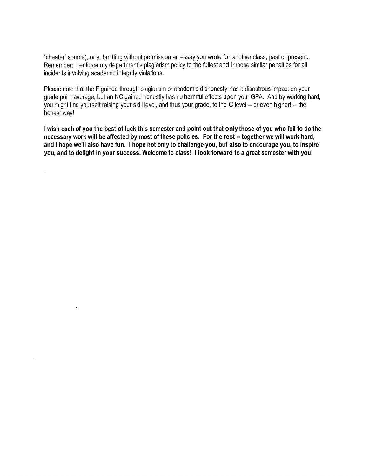"cheater" source), or submitting without permission an essay you wrote for another class, past or present.. Remember: I enforce my department's plagiarism policy to the fullest and impose similar penalties for all incidents involving academic integrity violations.

Please note that the F gained through plagiarism or academic dishonesty has a disastrous impact on your grade point average, but an NC gained honestly has no harmful effects upon your GPA. And by working hard, you might find yourself raising your skill level, and thus your grade, to the C level -- or even higher! -- the honest way!

I **wish each of you the best of luck this semester and point out that only those of you who fail to do the necessary work will be affected by most of these policies. For the rest** •· **together we will work hard,**  and I **hope we'll also have fun.** I **hope not only to challenge you, but also to encourage you, to inspire you, and to delight in your success. Welcome to class!** I **look forward to a great semester with you!**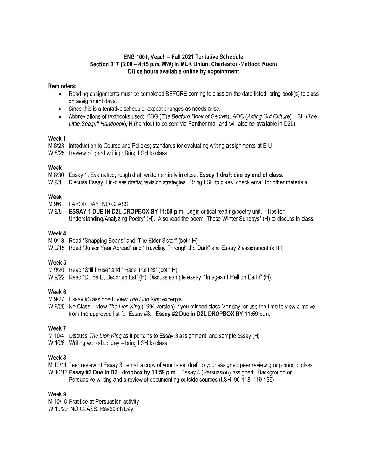## **ENG 1001, Veach- Fall 2021 Tentative Schedule Section 017 (3:00- 4:15 p.m. MW) in MLK Union, Charleston-Mattoon Room Office hours available online by appointment**

#### **Reminders:**

- Reading assignments must be completed BEFORE coming to class on the date listed; bring book(s) to class on assignment days.
- Since this is a tentative schedule, expect changes as needs arise.
- Abbreviations of textbooks used: BBG (The Bedford Book of Genres), AOC (Acting Out Culture), LSH (The Little Seagull Handbook), H (handout to be sent via Panther mail and will also be available in D2L)

#### **Week 1**

M 8/23 Introduction to Course and Policies; standards for evaluating writing assignments at EIU

W 8/25 Review of good writing: Bring LSH to class

## **Week**

M 8/30 Essay 1, Evaluative, rough draft written entirely in class. **Essay 1 draft due by end of class.** 

W 9/1 Discuss Essay 1 in-class drafts; revision strategies: Bring LSH to class; check email for other materials

## **Week**

- M 9/6 LABOR DAY, NO CLASS
- W 9/8 **ESSAY 1 DUE IN D2l DROPBOX BY 11 :59 p.m.** Begin critical reading/poetry unit. "Tips for Understanding/Analyzing Poetry" (H). Also read the poem "Those Winter Sundays" (H) to discuss in class.

## **Week4**

- M 9/13 Read "Snapping Beans" and "The Elder Sister" (both H).
- W 9/15 Read "Junior Year Abroad" and "Traveling Through the Dark" and Essay 2 assignment (all H)

## Week<sub>5</sub>

- M 9/20 Read "Still I Rise" and "'Race' Politics" (both H)
- W 9/22 Read "Dulce Et Decorum Est" (H). Discuss sample essay, "Images of Hell on Earth" (H).

## **Week6**

- M 9/27 Essay #3 assigned. View The Lion King excerpts
- W 9/29 No Class view The Lion King (1994 version) if you missed class Monday, or use the time to view a moive from the approved list for Essay #3. **Essay #2 Due in D2l DROPBOX BY 11 :59 p.m.**

## **Week7**

- M 10/4 Discuss The Lion King as it pertains to Essay 3 assignment, and sample essay (H)
- W 10/6 Writing workshop day bring LSH to class

## Week 8

- M 10/11 Peer review of Essay 3: email a copy of your latest draft to your assigned peer review group prior to class
- W 10/13 **Essay #3 Due in D2L dropbox by 11:59 p.m..** Essay 4 (Persuasion) assigned. Background on

Persuasive writing and a review of documenting outside sources (LSH 90-118; 119-169)

## Week 9

M 10/18 Practice at Persuasion activity W 10/20 NO CLASS: Research Day